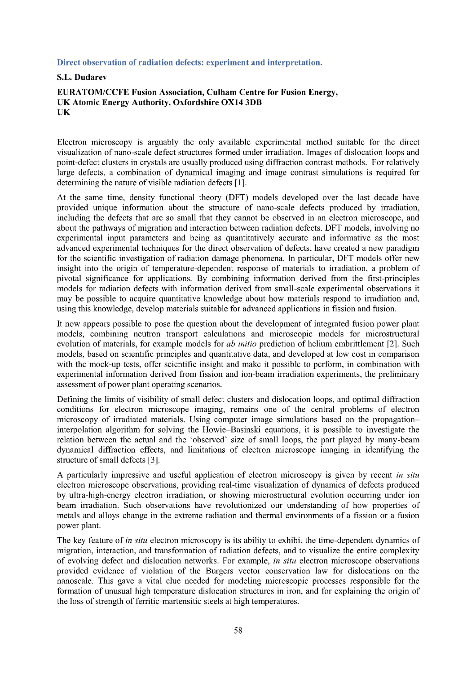## **Direct observation of radiation defects: experiment and interpretation.**

## **S.L. Dudarev**

## **EURATOM/CCFE Fusion Association, Culham Centre for Fusion Energy, UK Atomic Energy Authority, Oxfordshire 0X14 3DB UK**

Electron microscopy is arguably the only available experimental method suitable for the direct visualization of nano-scale defect structures formed under irradiation. Images of dislocation loops and point-defect clusters in crystals are usually produced using diffraction contrast methods. For relatively large defects, a combination of dynamical imaging and image contrast simulations is required for determining the nature of visible radiation defects [1].

At the same time, density functional theory (DFT) models developed over the last decade have provided unique information about the structure of nano-scale defects produced by irradiation, including the defects that are so small that they cannot be observed in an electron microscope, and about the pathways of migration and interaction between radiation defects. DFT models, involving no experimental input parameters and being as quantitatively accurate and informative as the most advanced experimental techniques for the direct observation of defects, have created a new paradigm for the scientific investigation of radiation damage phenomena. In particular, DFT models offer new insight into the origin of temperature-dependent response of materials to irradiation, a problem of pivotal significance for applications. By combining information derived from the first-principles models for radiation defects with information derived from small-scale experimental observations it may be possible to acquire quantitative knowledge about how materials respond to irradiation and, using this knowledge, develop materials suitable for advanced applications in fission and fusion.

It now appears possible to pose the question about the development of integrated fusion power plant models, combining neutron transport calculations and microscopic models for microstructural evolution of materials, for example models for *ab initio* prediction of helium embrittlement [2]. Such models, based on scientific principles and quantitative data, and developed at low cost in comparison with the mock-up tests, offer scientific insight and make it possible to perform, in combination with experimental information derived from fission and ion-beam irradiation experiments, the preliminary assessment of power plant operating scenarios.

Defining the limits of visibility of small defect clusters and dislocation loops, and optimal diffraction conditions for electron microscope imaging, remains one of the central problems of electron microscopy of irradiated materials. Using computer image simulations based on the propagationinterpolation algorithm for solving the Howie-Basinski equations, it is possible to investigate the relation between the actual and the 'observed' size of small loops, the part played by many-beam dynamical diffraction effects, and limitations of electron microscope imaging in identifying the structure of small defects [3].

A particularly impressive and useful application of electron microscopy is given by recent *in situ* electron microscope observations, providing real-time visualization of dynamics of defects produced by ultra-high-energy electron irradiation, or showing microstructural evolution occurring under ion beam irradiation. Such observations have revolutionized our understanding of how properties of metals and alloys change in the extreme radiation and thermal environments of a fission or a fusion power plant.

The key feature of *in situ* electron microscopy is its ability to exhibit the time-dependent dynamics of migration, interaction, and transformation of radiation defects, and to visualize the entire complexity of evolving defect and dislocation networks. For example, *in situ* electron microscope observations provided evidence of violation of the Burgers vector conservation law for dislocations on the nanoscale. This gave a vital clue needed for modeling microscopic processes responsible for the formation of unusual high temperature dislocation structures in iron, and for explaining the origin of the loss of strength of ferritic-martensitic steels at high temperatures.